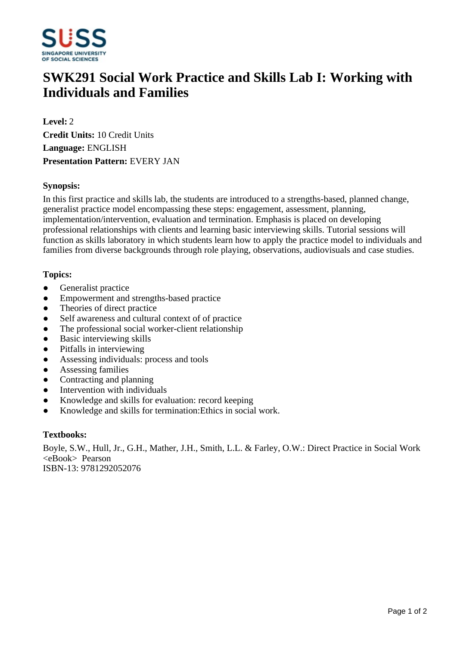

# **SWK291 Social Work Practice and Skills Lab I: Working with Individuals and Families**

**Level:** 2 **Credit Units:** 10 Credit Units **Language:** ENGLISH **Presentation Pattern:** EVERY JAN

### **Synopsis:**

In this first practice and skills lab, the students are introduced to a strengths-based, planned change, generalist practice model encompassing these steps: engagement, assessment, planning, implementation/intervention, evaluation and termination. Emphasis is placed on developing professional relationships with clients and learning basic interviewing skills. Tutorial sessions will function as skills laboratory in which students learn how to apply the practice model to individuals and families from diverse backgrounds through role playing, observations, audiovisuals and case studies.

## **Topics:**

- Generalist practice
- Empowerment and strengths-based practice
- Theories of direct practice
- Self awareness and cultural context of of practice
- The professional social worker-client relationship
- Basic interviewing skills
- Pitfalls in interviewing
- Assessing individuals: process and tools
- Assessing families
- Contracting and planning
- Intervention with individuals
- Knowledge and skills for evaluation: record keeping
- Knowledge and skills for termination: Ethics in social work.

#### **Textbooks:**

Boyle, S.W., Hull, Jr., G.H., Mather, J.H., Smith, L.L. & Farley, O.W.: Direct Practice in Social Work <eBook> Pearson ISBN-13: 9781292052076